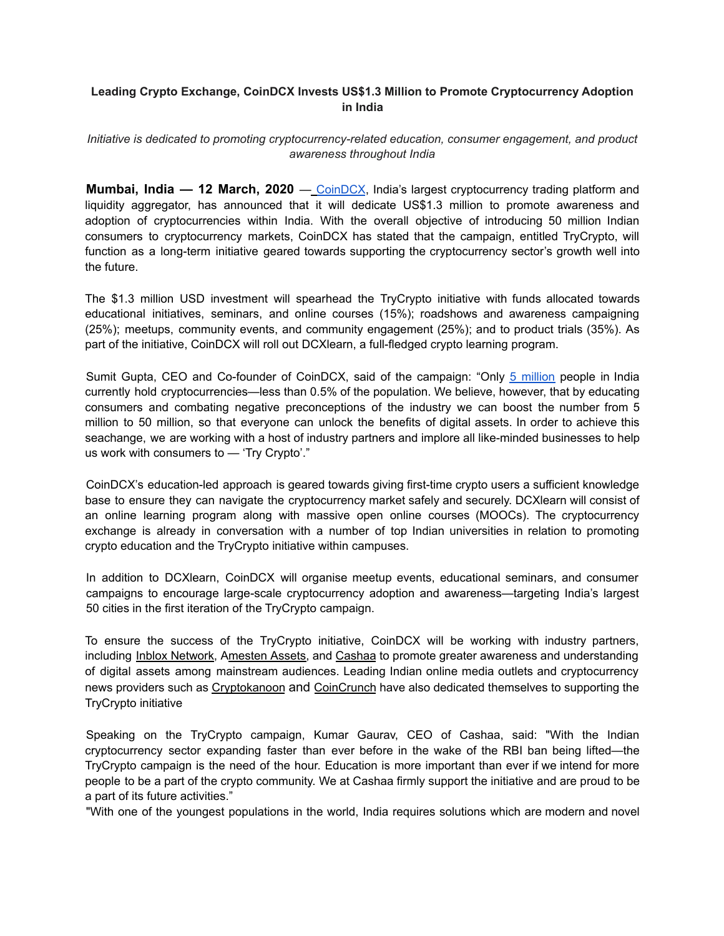## **Leading Crypto Exchange, CoinDCX Invests US\$1.3 Million to Promote Cryptocurrency Adoption in India**

## *Initiative is dedicated to promoting cryptocurrency-related education, consumer engagement, and product awareness throughout India*

**Mumbai, India — 12 March, 2020** — CoinDCX, India's largest cryptocurrency trading platform and liquidity aggregator, has announced that it will dedicate US\$1.3 million to promote awareness and adoption of cryptocurrencies within India. With the overall objective of introducing 50 million Indian consumers to cryptocurrency markets, CoinDCX has stated that the campaign, entitled TryCrypto, will function as a long-term initiative geared towards supporting the cryptocurrency sector's growth well into the future.

The \$1.3 million USD investment will spearhead the TryCrypto initiative with funds allocated towards educational initiatives, seminars, and online courses (15%); roadshows and awareness campaigning (25%); meetups, community events, and community engagement (25%); and to product trials (35%). As part of the initiative, CoinDCX will roll out DCXlearn, a full-fledged crypto learning program.

Sumit Gupta, CEO and Co-founder of CoinDCX, said of the campaign: "Only 5 million people in India currently hold cryptocurrencies—less than 0.5% of the population. We believe, however, that by educating consumers and combating negative preconceptions of the industry we can boost the number from 5 million to 50 million, so that everyone can unlock the benefits of digital assets. In order to achieve this seachange, we are working with a host of industry partners and implore all like-minded businesses to help us work with consumers to — 'Try Crypto'."

CoinDCX's education-led approach is geared towards giving first-time crypto users a sufficient knowledge base to ensure they can navigate the cryptocurrency market safely and securely. DCXlearn will consist of an online learning program along with massive open online courses (MOOCs). The cryptocurrency exchange is already in conversation with a number of top Indian universities in relation to promoting crypto education and the TryCrypto initiative within campuses.

In addition to DCXlearn, CoinDCX will organise meetup events, educational seminars, and consumer campaigns to encourage large-scale cryptocurrency adoption and awareness—targeting India's largest 50 cities in the first iteration of the TryCrypto campaign.

To ensure the success of the TryCrypto initiative, CoinDCX will be working with industry partners, including Inblox Network, Amesten Assets, and Cashaa to promote greater awareness and understanding of digital assets among mainstream audiences. Leading Indian online media outlets and cryptocurrency news providers such as Cryptokanoon and CoinCrunch have also dedicated themselves to supporting the TryCrypto initiative

Speaking on the TryCrypto campaign, Kumar Gaurav, CEO of Cashaa, said: "With the Indian cryptocurrency sector expanding faster than ever before in the wake of the RBI ban being lifted—the TryCrypto campaign is the need of the hour. Education is more important than ever if we intend for more people to be a part of the crypto community. We at Cashaa firmly support the initiative and are proud to be a part of its future activities."

"With one of the youngest populations in the world, India requires solutions which are modern and novel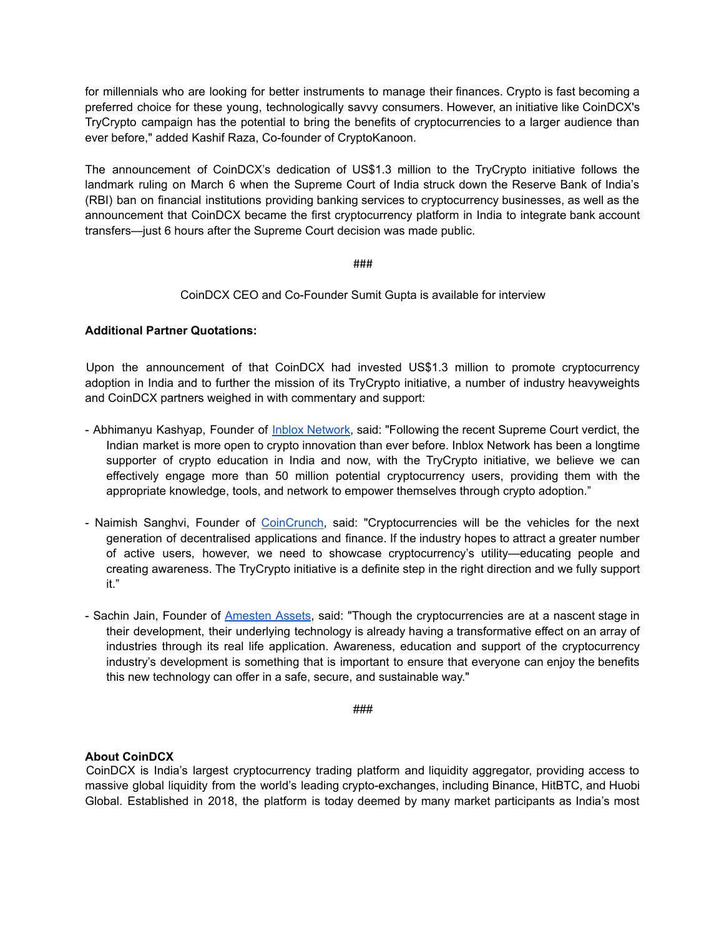for millennials who are looking for better instruments to manage their finances. Crypto is fast becoming a preferred choice for these young, technologically savvy consumers. However, an initiative like CoinDCX's TryCrypto campaign has the potential to bring the benefits of cryptocurrencies to a larger audience than ever before," added Kashif Raza, Co-founder of CryptoKanoon.

The announcement of CoinDCX's dedication of US\$1.3 million to the TryCrypto initiative follows the landmark ruling on March 6 when the Supreme Court of India struck down the Reserve Bank of India's (RBI) ban on financial institutions providing banking services to cryptocurrency businesses, as well as the announcement that CoinDCX became the first cryptocurrency platform in India to integrate bank account transfers—just 6 hours after the Supreme Court decision was made public.

###

CoinDCX CEO and Co-Founder Sumit Gupta is available for interview

## **Additional Partner Quotations:**

Upon the announcement of that CoinDCX had invested US\$1.3 million to promote cryptocurrency adoption in India and to further the mission of its TryCrypto initiative, a number of industry heavyweights and CoinDCX partners weighed in with commentary and support:

- Abhimanyu Kashyap, Founder of Inblox Network, said: "Following the recent Supreme Court verdict, the Indian market is more open to crypto innovation than ever before. Inblox Network has been a longtime supporter of crypto education in India and now, with the TryCrypto initiative, we believe we can effectively engage more than 50 million potential cryptocurrency users, providing them with the appropriate knowledge, tools, and network to empower themselves through crypto adoption."
- Naimish Sanghvi, Founder of CoinCrunch, said: "Cryptocurrencies will be the vehicles for the next generation of decentralised applications and finance. If the industry hopes to attract a greater number of active users, however, we need to showcase cryptocurrency's utility—educating people and creating awareness. The TryCrypto initiative is a definite step in the right direction and we fully support it."
- Sachin Jain, Founder of Amesten Assets, said: "Though the cryptocurrencies are at a nascent stage in their development, their underlying technology is already having a transformative effect on an array of industries through its real life application. Awareness, education and support of the cryptocurrency industry's development is something that is important to ensure that everyone can enjoy the benefits this new technology can offer in a safe, secure, and sustainable way."

###

## **About CoinDCX**

CoinDCX is India's largest cryptocurrency trading platform and liquidity aggregator, providing access to massive global liquidity from the world's leading crypto-exchanges, including Binance, HitBTC, and Huobi Global. Established in 2018, the platform is today deemed by many market participants as India's most